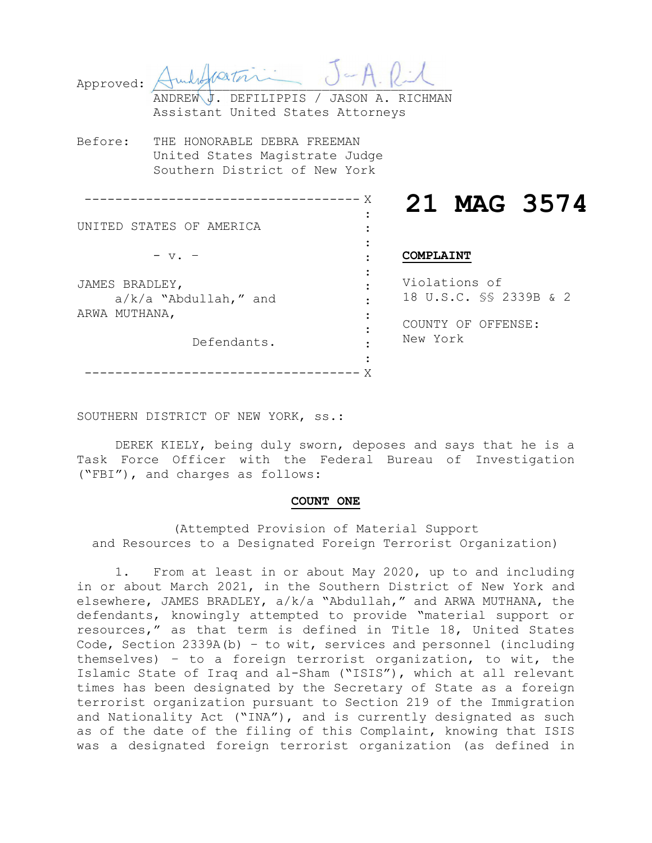| Approved:                                                                 | ANDREW J. DEFILIPPIS / JASON A. RICHMAN<br>Assistant United States Attorneys                   |                                                                           |  |
|---------------------------------------------------------------------------|------------------------------------------------------------------------------------------------|---------------------------------------------------------------------------|--|
| Before:                                                                   | THE HONORABLE DEBRA FREEMAN<br>United States Magistrate Judge<br>Southern District of New York |                                                                           |  |
|                                                                           | UNITED STATES OF AMERICA<br>$- v.$                                                             | 21 MAG 3574<br>COMPLAINT                                                  |  |
| JAMES BRADLEY,<br>$a/k/a$ "Abdullah," and<br>ARWA MUTHANA,<br>Defendants. |                                                                                                | Violations of<br>18 U.S.C. SS 2339B & 2<br>COUNTY OF OFFENSE:<br>New York |  |
|                                                                           |                                                                                                |                                                                           |  |

SOUTHERN DISTRICT OF NEW YORK, ss.:

DEREK KIELY, being duly sworn, deposes and says that he is a Task Force Officer with the Federal Bureau of Investigation ("FBI"), and charges as follows:

### **COUNT ONE**

(Attempted Provision of Material Support and Resources to a Designated Foreign Terrorist Organization)

1. From at least in or about May 2020, up to and including in or about March 2021, in the Southern District of New York and elsewhere, JAMES BRADLEY, a/k/a "Abdullah," and ARWA MUTHANA, the defendants, knowingly attempted to provide "material support or resources," as that term is defined in Title 18, United States Code, Section 2339A(b) – to wit, services and personnel (including themselves) – to a foreign terrorist organization, to wit, the Islamic State of Iraq and al-Sham ("ISIS"), which at all relevant times has been designated by the Secretary of State as a foreign terrorist organization pursuant to Section 219 of the Immigration and Nationality Act ("INA"), and is currently designated as such as of the date of the filing of this Complaint, knowing that ISIS was a designated foreign terrorist organization (as defined in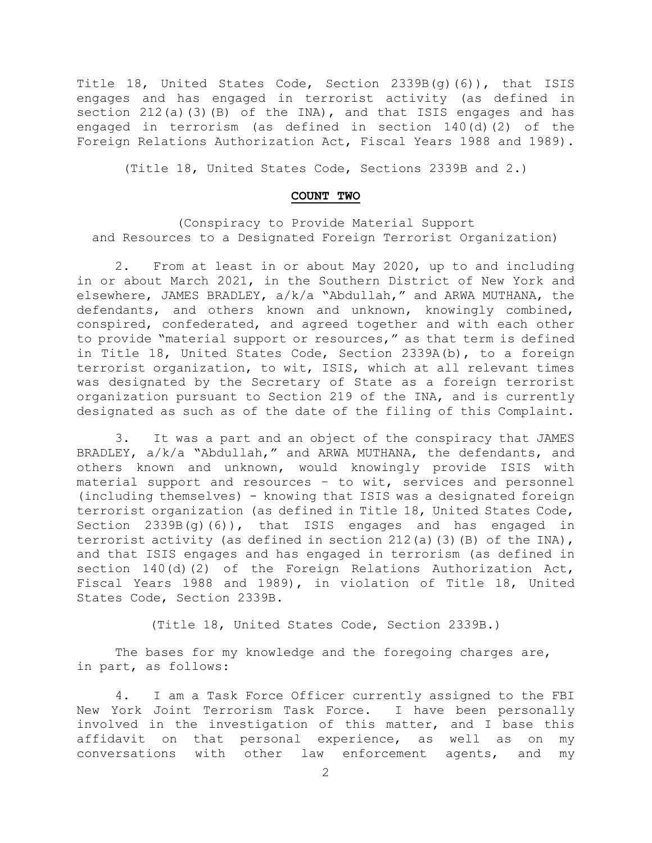Title 18, United States Code, Section 2339B(g)(6)), that ISIS engages and has engaged in terrorist activity (as defined in section 212(a)(3)(B) of the INA), and that ISIS engages and has engaged in terrorism (as defined in section 140(d)(2) of the Foreign Relations Authorization Act, Fiscal Years 1988 and 1989).

(Title 18, United States Code, Sections 2339B and 2.)

#### **COUNT TWO**

(Conspiracy to Provide Material Support and Resources to a Designated Foreign Terrorist Organization)

2. From at least in or about May 2020, up to and including in or about March 2021, in the Southern District of New York and elsewhere, JAMES BRADLEY, a/k/a "Abdullah," and ARWA MUTHANA, the defendants, and others known and unknown, knowingly combined, conspired, confederated, and agreed together and with each other to provide "material support or resources," as that term is defined in Title 18, United States Code, Section 2339A(b), to a foreign terrorist organization, to wit, ISIS, which at all relevant times was designated by the Secretary of State as a foreign terrorist organization pursuant to Section 219 of the INA, and is currently designated as such as of the date of the filing of this Complaint.

3. It was a part and an object of the conspiracy that JAMES BRADLEY, a/k/a "Abdullah," and ARWA MUTHANA, the defendants, and others known and unknown, would knowingly provide ISIS with material support and resources – to wit, services and personnel (including themselves) - knowing that ISIS was a designated foreign terrorist organization (as defined in Title 18, United States Code, Section 2339B(g)(6)), that ISIS engages and has engaged in terrorist activity (as defined in section  $212(a)$  (3)(B) of the INA), and that ISIS engages and has engaged in terrorism (as defined in section 140(d)(2) of the Foreign Relations Authorization Act, Fiscal Years 1988 and 1989), in violation of Title 18, United States Code, Section 2339B.

(Title 18, United States Code, Section 2339B.)

The bases for my knowledge and the foregoing charges are, in part, as follows:

4. I am a Task Force Officer currently assigned to the FBI New York Joint Terrorism Task Force. I have been personally involved in the investigation of this matter, and I base this affidavit on that personal experience, as well as on my conversations with other law enforcement agents, and my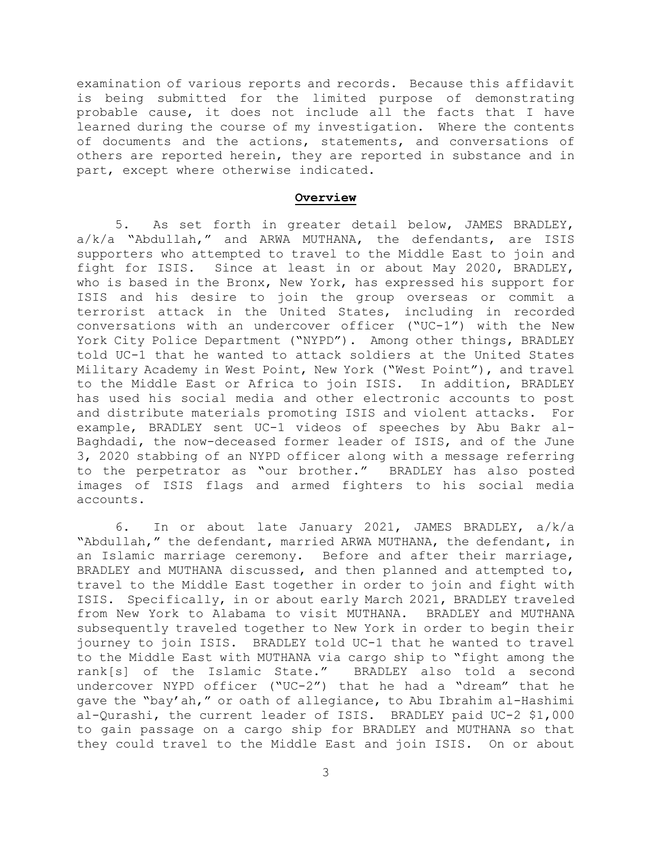examination of various reports and records. Because this affidavit is being submitted for the limited purpose of demonstrating probable cause, it does not include all the facts that I have learned during the course of my investigation. Where the contents of documents and the actions, statements, and conversations of others are reported herein, they are reported in substance and in part, except where otherwise indicated.

#### **Overview**

5. As set forth in greater detail below, JAMES BRADLEY, a/k/a "Abdullah," and ARWA MUTHANA, the defendants, are ISIS supporters who attempted to travel to the Middle East to join and fight for ISIS. Since at least in or about May 2020, BRADLEY, who is based in the Bronx, New York, has expressed his support for ISIS and his desire to join the group overseas or commit a terrorist attack in the United States, including in recorded conversations with an undercover officer ("UC-1") with the New York City Police Department ("NYPD"). Among other things, BRADLEY told UC-1 that he wanted to attack soldiers at the United States Military Academy in West Point, New York ("West Point"), and travel to the Middle East or Africa to join ISIS. In addition, BRADLEY has used his social media and other electronic accounts to post and distribute materials promoting ISIS and violent attacks. For example, BRADLEY sent UC-1 videos of speeches by Abu Bakr al-Baghdadi, the now-deceased former leader of ISIS, and of the June 3, 2020 stabbing of an NYPD officer along with a message referring to the perpetrator as "our brother." BRADLEY has also posted images of ISIS flags and armed fighters to his social media accounts.

6. In or about late January 2021, JAMES BRADLEY, a/k/a "Abdullah," the defendant, married ARWA MUTHANA, the defendant, in an Islamic marriage ceremony. Before and after their marriage, BRADLEY and MUTHANA discussed, and then planned and attempted to, travel to the Middle East together in order to join and fight with ISIS. Specifically, in or about early March 2021, BRADLEY traveled from New York to Alabama to visit MUTHANA. BRADLEY and MUTHANA subsequently traveled together to New York in order to begin their journey to join ISIS. BRADLEY told UC-1 that he wanted to travel to the Middle East with MUTHANA via cargo ship to "fight among the rank[s] of the Islamic State." BRADLEY also told a second undercover NYPD officer ("UC-2") that he had a "dream" that he gave the "bay'ah," or oath of allegiance, to Abu Ibrahim al-Hashimi al-Qurashi, the current leader of ISIS. BRADLEY paid UC-2 \$1,000 to gain passage on a cargo ship for BRADLEY and MUTHANA so that they could travel to the Middle East and join ISIS. On or about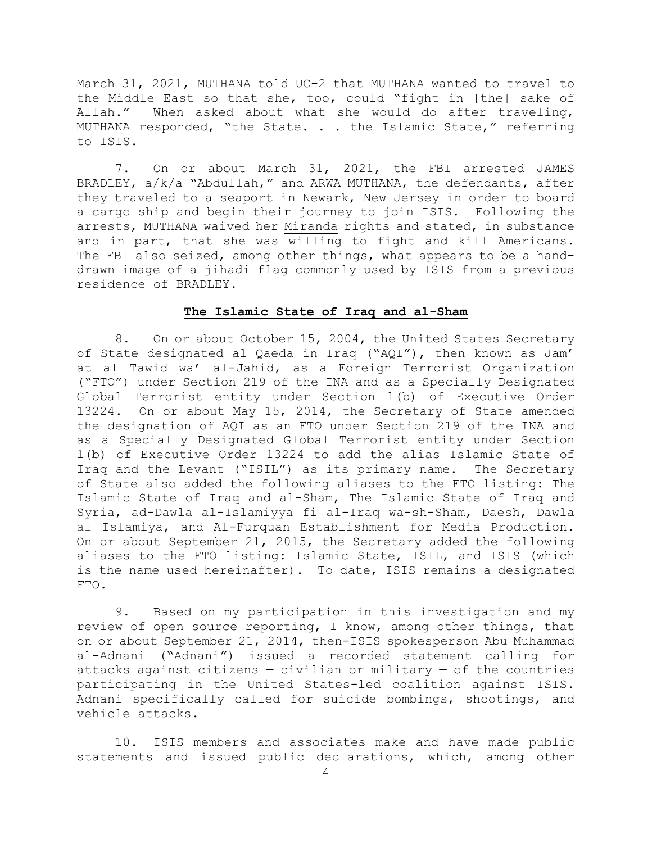March 31, 2021, MUTHANA told UC-2 that MUTHANA wanted to travel to the Middle East so that she, too, could "fight in [the] sake of Allah." When asked about what she would do after traveling, MUTHANA responded, "the State. . . the Islamic State," referring to ISIS.

7. On or about March 31, 2021, the FBI arrested JAMES BRADLEY, a/k/a "Abdullah," and ARWA MUTHANA, the defendants, after they traveled to a seaport in Newark, New Jersey in order to board a cargo ship and begin their journey to join ISIS. Following the arrests, MUTHANA waived her Miranda rights and stated, in substance and in part, that she was willing to fight and kill Americans. The FBI also seized, among other things, what appears to be a handdrawn image of a jihadi flag commonly used by ISIS from a previous residence of BRADLEY.

### **The Islamic State of Iraq and al-Sham**

8. On or about October 15, 2004, the United States Secretary of State designated al Qaeda in Iraq ("AQI"), then known as Jam' at al Tawid wa' al-Jahid, as a Foreign Terrorist Organization ("FTO") under Section 219 of the INA and as a Specially Designated Global Terrorist entity under Section l(b) of Executive Order 13224. On or about May 15, 2014, the Secretary of State amended the designation of AQI as an FTO under Section 219 of the INA and as a Specially Designated Global Terrorist entity under Section 1(b) of Executive Order 13224 to add the alias Islamic State of Iraq and the Levant ("ISIL") as its primary name. The Secretary of State also added the following aliases to the FTO listing: The Islamic State of Iraq and al-Sham, The Islamic State of Iraq and Syria, ad-Dawla al-Islamiyya fi al-Iraq wa-sh-Sham, Daesh, Dawla al Islamiya, and Al-Furquan Establishment for Media Production. On or about September 21, 2015, the Secretary added the following aliases to the FTO listing: Islamic State, ISIL, and ISIS (which is the name used hereinafter). To date, ISIS remains a designated FTO.

9. Based on my participation in this investigation and my review of open source reporting, I know, among other things, that on or about September 21, 2014, then-ISIS spokesperson Abu Muhammad al-Adnani ("Adnani") issued a recorded statement calling for attacks against citizens  $-$  civilian or military  $-$  of the countries participating in the United States-led coalition against ISIS. Adnani specifically called for suicide bombings, shootings, and vehicle attacks.

10. ISIS members and associates make and have made public statements and issued public declarations, which, among other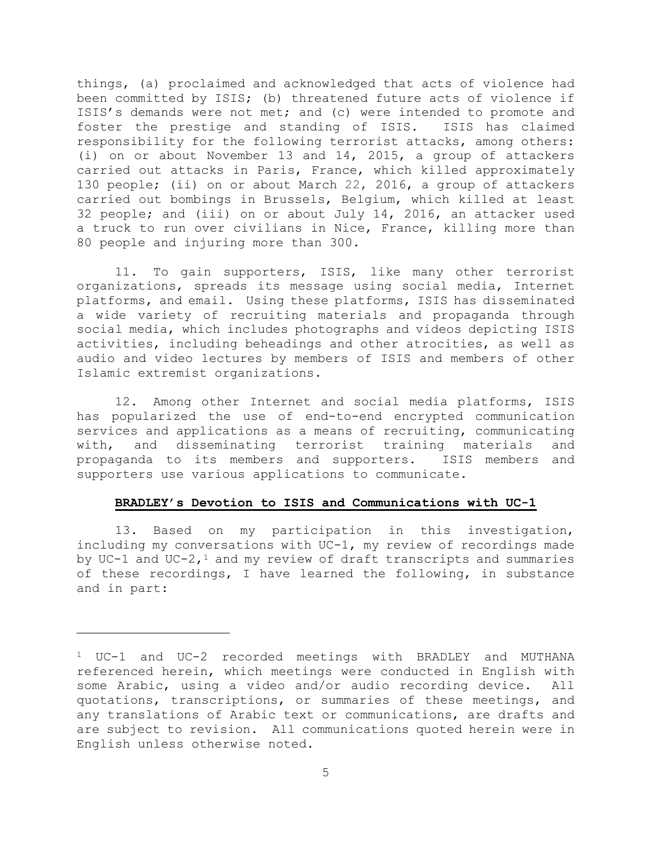things, (a) proclaimed and acknowledged that acts of violence had been committed by ISIS; (b) threatened future acts of violence if ISIS's demands were not met; and (c) were intended to promote and foster the prestige and standing of ISIS. ISIS has claimed responsibility for the following terrorist attacks, among others: (i) on or about November 13 and 14, 2015, a group of attackers carried out attacks in Paris, France, which killed approximately 130 people; (ii) on or about March 22, 2016, a group of attackers carried out bombings in Brussels, Belgium, which killed at least 32 people; and (iii) on or about July 14, 2016, an attacker used a truck to run over civilians in Nice, France, killing more than 80 people and injuring more than 300.

11. To gain supporters, ISIS, like many other terrorist organizations, spreads its message using social media, Internet platforms, and email. Using these platforms, ISIS has disseminated a wide variety of recruiting materials and propaganda through social media, which includes photographs and videos depicting ISIS activities, including beheadings and other atrocities, as well as audio and video lectures by members of ISIS and members of other Islamic extremist organizations.

12. Among other Internet and social media platforms, ISIS has popularized the use of end-to-end encrypted communication services and applications as a means of recruiting, communicating with, and disseminating terrorist training materials and propaganda to its members and supporters. ISIS members and supporters use various applications to communicate.

## **BRADLEY's Devotion to ISIS and Communications with UC-1**

13. Based on my participation in this investigation, including my conversations with UC-1, my review of recordings made by UC-1 and UC-2,<sup>1</sup> and my review of draft transcripts and summaries of these recordings, I have learned the following, in substance and in part:

<sup>1</sup> UC-1 and UC-2 recorded meetings with BRADLEY and MUTHANA referenced herein, which meetings were conducted in English with some Arabic, using a video and/or audio recording device. All quotations, transcriptions, or summaries of these meetings, and any translations of Arabic text or communications, are drafts and are subject to revision. All communications quoted herein were in English unless otherwise noted.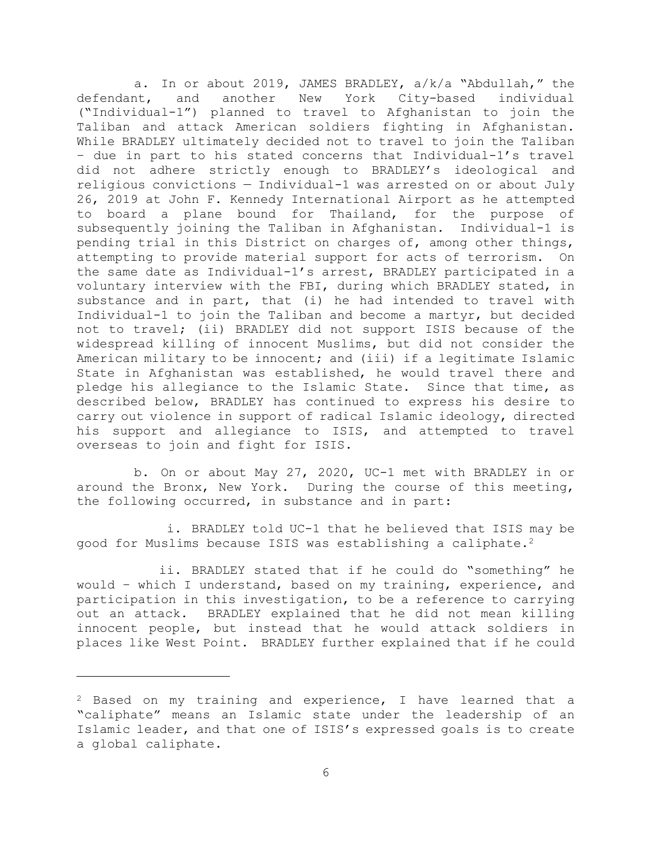a. In or about 2019, JAMES BRADLEY, a/k/a "Abdullah," the defendant, and another New York City-based individual ("Individual-1") planned to travel to Afghanistan to join the Taliban and attack American soldiers fighting in Afghanistan. While BRADLEY ultimately decided not to travel to join the Taliban – due in part to his stated concerns that Individual-1's travel did not adhere strictly enough to BRADLEY's ideological and religious convictions — Individual-1 was arrested on or about July 26, 2019 at John F. Kennedy International Airport as he attempted to board a plane bound for Thailand, for the purpose of subsequently joining the Taliban in Afghanistan. Individual-1 is pending trial in this District on charges of, among other things, attempting to provide material support for acts of terrorism. On the same date as Individual-1's arrest, BRADLEY participated in a voluntary interview with the FBI, during which BRADLEY stated, in substance and in part, that (i) he had intended to travel with Individual-1 to join the Taliban and become a martyr, but decided not to travel; (ii) BRADLEY did not support ISIS because of the widespread killing of innocent Muslims, but did not consider the American military to be innocent; and (iii) if a legitimate Islamic State in Afghanistan was established, he would travel there and pledge his allegiance to the Islamic State. Since that time, as described below, BRADLEY has continued to express his desire to carry out violence in support of radical Islamic ideology, directed his support and allegiance to ISIS, and attempted to travel overseas to join and fight for ISIS.

b. On or about May 27, 2020, UC-1 met with BRADLEY in or around the Bronx, New York. During the course of this meeting, the following occurred, in substance and in part:

i. BRADLEY told UC-1 that he believed that ISIS may be good for Muslims because ISIS was establishing a caliphate.2

ii. BRADLEY stated that if he could do "something" he would – which I understand, based on my training, experience, and participation in this investigation, to be a reference to carrying out an attack. BRADLEY explained that he did not mean killing innocent people, but instead that he would attack soldiers in places like West Point. BRADLEY further explained that if he could

<sup>&</sup>lt;sup>2</sup> Based on my training and experience, I have learned that a "caliphate" means an Islamic state under the leadership of an Islamic leader, and that one of ISIS's expressed goals is to create a global caliphate.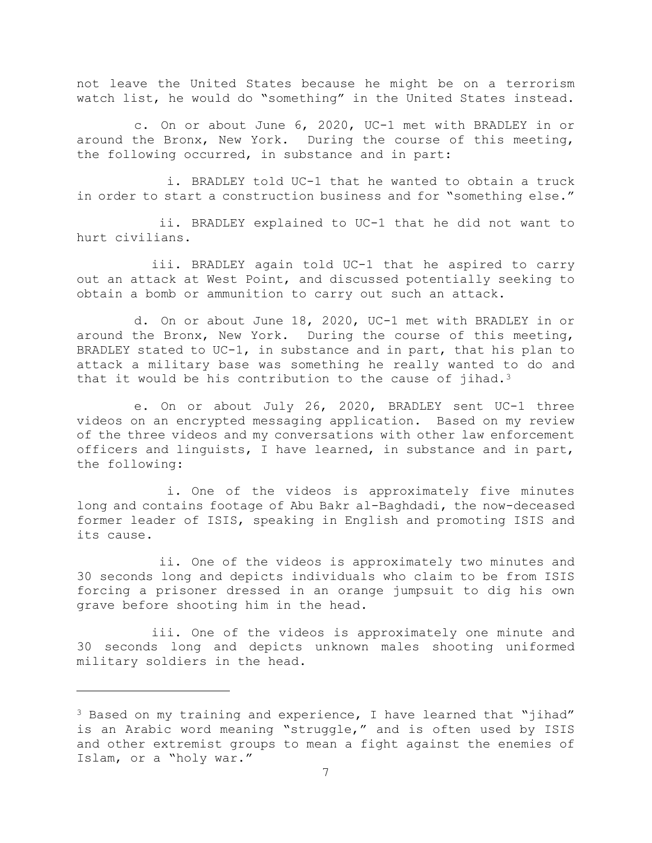not leave the United States because he might be on a terrorism watch list, he would do "something" in the United States instead.

c. On or about June 6, 2020, UC-1 met with BRADLEY in or around the Bronx, New York. During the course of this meeting, the following occurred, in substance and in part:

i. BRADLEY told UC-1 that he wanted to obtain a truck in order to start a construction business and for "something else."

ii. BRADLEY explained to UC-1 that he did not want to hurt civilians.

iii. BRADLEY again told UC-1 that he aspired to carry out an attack at West Point, and discussed potentially seeking to obtain a bomb or ammunition to carry out such an attack.

d. On or about June 18, 2020, UC-1 met with BRADLEY in or around the Bronx, New York. During the course of this meeting, BRADLEY stated to UC-1, in substance and in part, that his plan to attack a military base was something he really wanted to do and that it would be his contribution to the cause of jihad.<sup>3</sup>

e. On or about July 26, 2020, BRADLEY sent UC-1 three videos on an encrypted messaging application. Based on my review of the three videos and my conversations with other law enforcement officers and linguists, I have learned, in substance and in part, the following:

i. One of the videos is approximately five minutes long and contains footage of Abu Bakr al-Baghdadi, the now-deceased former leader of ISIS, speaking in English and promoting ISIS and its cause.

ii. One of the videos is approximately two minutes and 30 seconds long and depicts individuals who claim to be from ISIS forcing a prisoner dressed in an orange jumpsuit to dig his own grave before shooting him in the head.

iii. One of the videos is approximately one minute and 30 seconds long and depicts unknown males shooting uniformed military soldiers in the head.

<sup>&</sup>lt;sup>3</sup> Based on my training and experience, I have learned that "jihad" is an Arabic word meaning "struggle," and is often used by ISIS and other extremist groups to mean a fight against the enemies of Islam, or a "holy war."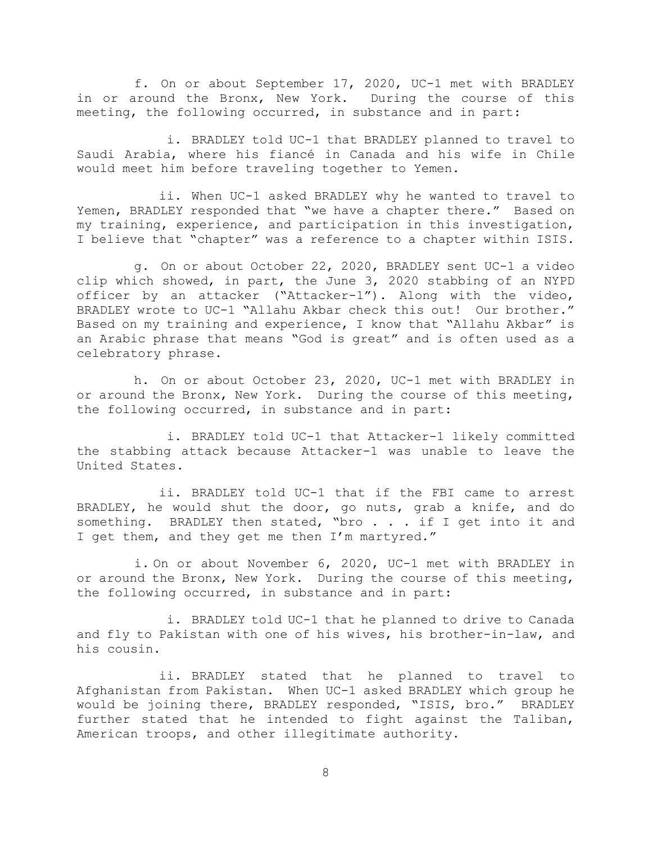f. On or about September 17, 2020, UC-1 met with BRADLEY in or around the Bronx, New York. During the course of this meeting, the following occurred, in substance and in part:

i. BRADLEY told UC-1 that BRADLEY planned to travel to Saudi Arabia, where his fiancé in Canada and his wife in Chile would meet him before traveling together to Yemen.

ii. When UC-1 asked BRADLEY why he wanted to travel to Yemen, BRADLEY responded that "we have a chapter there." Based on my training, experience, and participation in this investigation, I believe that "chapter" was a reference to a chapter within ISIS.

g. On or about October 22, 2020, BRADLEY sent UC-1 a video clip which showed, in part, the June 3, 2020 stabbing of an NYPD officer by an attacker ("Attacker-1"). Along with the video, BRADLEY wrote to UC-1 "Allahu Akbar check this out! Our brother." Based on my training and experience, I know that "Allahu Akbar" is an Arabic phrase that means "God is great" and is often used as a celebratory phrase.

h. On or about October 23, 2020, UC-1 met with BRADLEY in or around the Bronx, New York. During the course of this meeting, the following occurred, in substance and in part:

i. BRADLEY told UC-1 that Attacker-1 likely committed the stabbing attack because Attacker-1 was unable to leave the United States.

ii. BRADLEY told UC-1 that if the FBI came to arrest BRADLEY, he would shut the door, go nuts, grab a knife, and do something. BRADLEY then stated, "bro . . . if I get into it and I get them, and they get me then I'm martyred."

i. On or about November 6, 2020, UC-1 met with BRADLEY in or around the Bronx, New York. During the course of this meeting, the following occurred, in substance and in part:

i. BRADLEY told UC-1 that he planned to drive to Canada and fly to Pakistan with one of his wives, his brother-in-law, and his cousin.

ii. BRADLEY stated that he planned to travel to Afghanistan from Pakistan. When UC-1 asked BRADLEY which group he would be joining there, BRADLEY responded, "ISIS, bro." BRADLEY further stated that he intended to fight against the Taliban, American troops, and other illegitimate authority.

8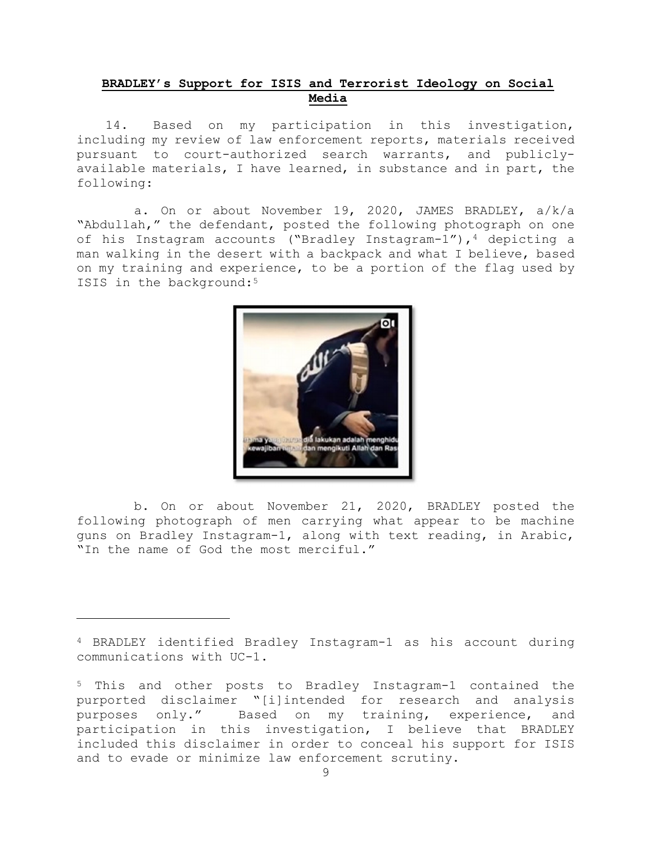# **BRADLEY's Support for ISIS and Terrorist Ideology on Social Media**

14. Based on my participation in this investigation, including my review of law enforcement reports, materials received pursuant to court-authorized search warrants, and publiclyavailable materials, I have learned, in substance and in part, the following:

a. On or about November 19, 2020, JAMES BRADLEY, a/k/a "Abdullah," the defendant, posted the following photograph on one of his Instagram accounts ("Bradley Instagram-1"), 4 depicting a man walking in the desert with a backpack and what I believe, based on my training and experience, to be a portion of the flag used by ISIS in the background:<sup>5</sup>



b. On or about November 21, 2020, BRADLEY posted the following photograph of men carrying what appear to be machine guns on Bradley Instagram-1, along with text reading, in Arabic, "In the name of God the most merciful."

<sup>4</sup> BRADLEY identified Bradley Instagram-1 as his account during communications with UC-1.

<sup>5</sup> This and other posts to Bradley Instagram-1 contained the purported disclaimer "[i]intended for research and analysis purposes only." Based on my training, experience, and participation in this investigation, I believe that BRADLEY included this disclaimer in order to conceal his support for ISIS and to evade or minimize law enforcement scrutiny.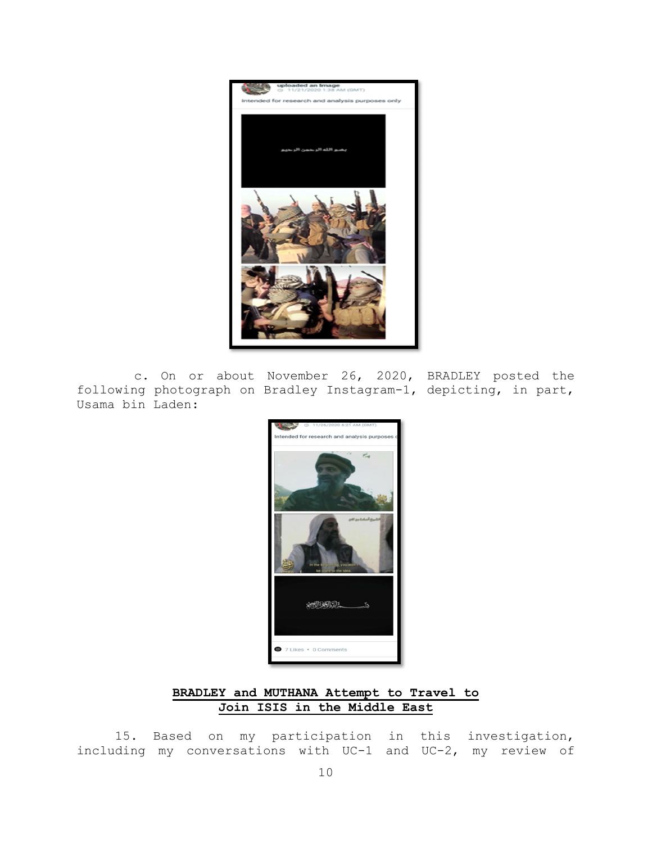

c. On or about November 26, 2020, BRADLEY posted the following photograph on Bradley Instagram-1, depicting, in part, Usama bin Laden:



# **BRADLEY and MUTHANA Attempt to Travel to Join ISIS in the Middle East**

15. Based on my participation in this investigation, including my conversations with UC-1 and UC-2, my review of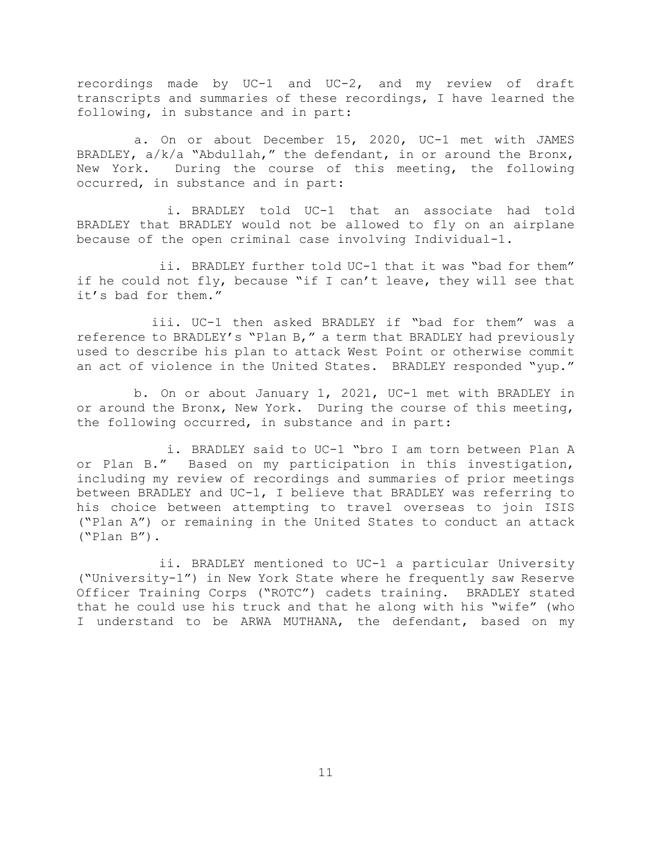recordings made by UC-1 and UC-2, and my review of draft transcripts and summaries of these recordings, I have learned the following, in substance and in part:

a. On or about December 15, 2020, UC-1 met with JAMES BRADLEY,  $a/k/a$  "Abdullah," the defendant, in or around the Bronx, New York. During the course of this meeting, the following occurred, in substance and in part:

i. BRADLEY told UC-1 that an associate had told BRADLEY that BRADLEY would not be allowed to fly on an airplane because of the open criminal case involving Individual-1.

ii. BRADLEY further told UC-1 that it was "bad for them" if he could not fly, because "if I can't leave, they will see that it's bad for them."

iii. UC-1 then asked BRADLEY if "bad for them" was a reference to BRADLEY's "Plan B," a term that BRADLEY had previously used to describe his plan to attack West Point or otherwise commit an act of violence in the United States. BRADLEY responded "yup."

b. On or about January 1, 2021, UC-1 met with BRADLEY in or around the Bronx, New York. During the course of this meeting, the following occurred, in substance and in part:

i. BRADLEY said to UC-1 "bro I am torn between Plan A or Plan B." Based on my participation in this investigation, including my review of recordings and summaries of prior meetings between BRADLEY and UC-1, I believe that BRADLEY was referring to his choice between attempting to travel overseas to join ISIS ("Plan A") or remaining in the United States to conduct an attack ("Plan B").

ii. BRADLEY mentioned to UC-1 a particular University ("University-1") in New York State where he frequently saw Reserve Officer Training Corps ("ROTC") cadets training. BRADLEY stated that he could use his truck and that he along with his "wife" (who I understand to be ARWA MUTHANA, the defendant, based on my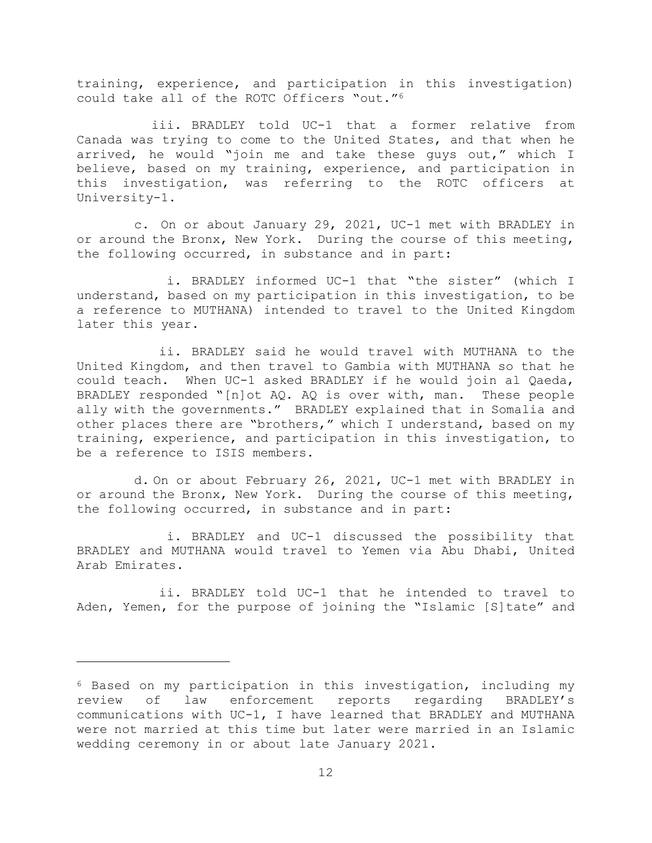training, experience, and participation in this investigation) could take all of the ROTC Officers "out."6

iii. BRADLEY told UC-1 that a former relative from Canada was trying to come to the United States, and that when he arrived, he would "join me and take these guys out," which I believe, based on my training, experience, and participation in this investigation, was referring to the ROTC officers at University-1.

c. On or about January 29, 2021, UC-1 met with BRADLEY in or around the Bronx, New York. During the course of this meeting, the following occurred, in substance and in part:

i. BRADLEY informed UC-1 that "the sister" (which I understand, based on my participation in this investigation, to be a reference to MUTHANA) intended to travel to the United Kingdom later this year.

ii. BRADLEY said he would travel with MUTHANA to the United Kingdom, and then travel to Gambia with MUTHANA so that he could teach. When UC-1 asked BRADLEY if he would join al Qaeda, BRADLEY responded "[n]ot AQ. AQ is over with, man. These people ally with the governments." BRADLEY explained that in Somalia and other places there are "brothers," which I understand, based on my training, experience, and participation in this investigation, to be a reference to ISIS members.

d. On or about February 26, 2021, UC-1 met with BRADLEY in or around the Bronx, New York. During the course of this meeting, the following occurred, in substance and in part:

i. BRADLEY and UC-1 discussed the possibility that BRADLEY and MUTHANA would travel to Yemen via Abu Dhabi, United Arab Emirates.

ii. BRADLEY told UC-1 that he intended to travel to Aden, Yemen, for the purpose of joining the "Islamic [S]tate" and

<sup>6</sup> Based on my participation in this investigation, including my review of law enforcement reports regarding BRADLEY's communications with UC-1, I have learned that BRADLEY and MUTHANA were not married at this time but later were married in an Islamic wedding ceremony in or about late January 2021.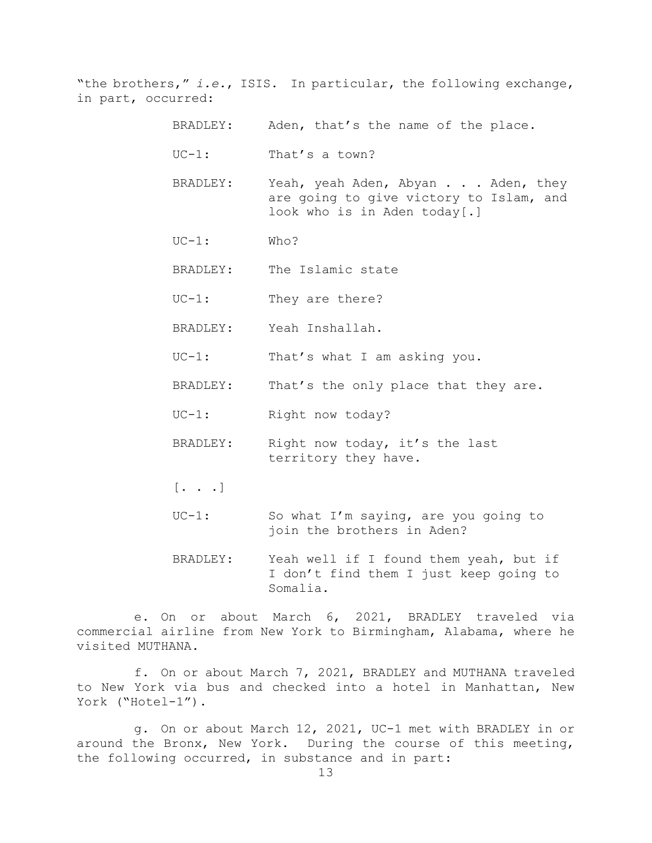"the brothers," *i.e.*, ISIS. In particular, the following exchange, in part, occurred:

- BRADLEY: Aden, that's the name of the place.
- UC-1: That's a town?
- BRADLEY: Yeah, yeah Aden, Abyan . . . Aden, they are going to give victory to Islam, and look who is in Aden today[.]
- UC-1: Who?
- BRADLEY: The Islamic state
- UC-1: They are there?
- BRADLEY: Yeah Inshallah.
- UC-1: That's what I am asking you.
- BRADLEY: That's the only place that they are.
- UC-1: Right now today?
- BRADLEY: Right now today, it's the last territory they have.
- $[\cdot \cdot \cdot \cdot]$
- UC-1: So what I'm saying, are you going to join the brothers in Aden?
- BRADLEY: Yeah well if I found them yeah, but if I don't find them I just keep going to Somalia.

e. On or about March 6, 2021, BRADLEY traveled via commercial airline from New York to Birmingham, Alabama, where he visited MUTHANA.

f. On or about March 7, 2021, BRADLEY and MUTHANA traveled to New York via bus and checked into a hotel in Manhattan, New York ("Hotel-1").

g. On or about March 12, 2021, UC-1 met with BRADLEY in or around the Bronx, New York. During the course of this meeting, the following occurred, in substance and in part: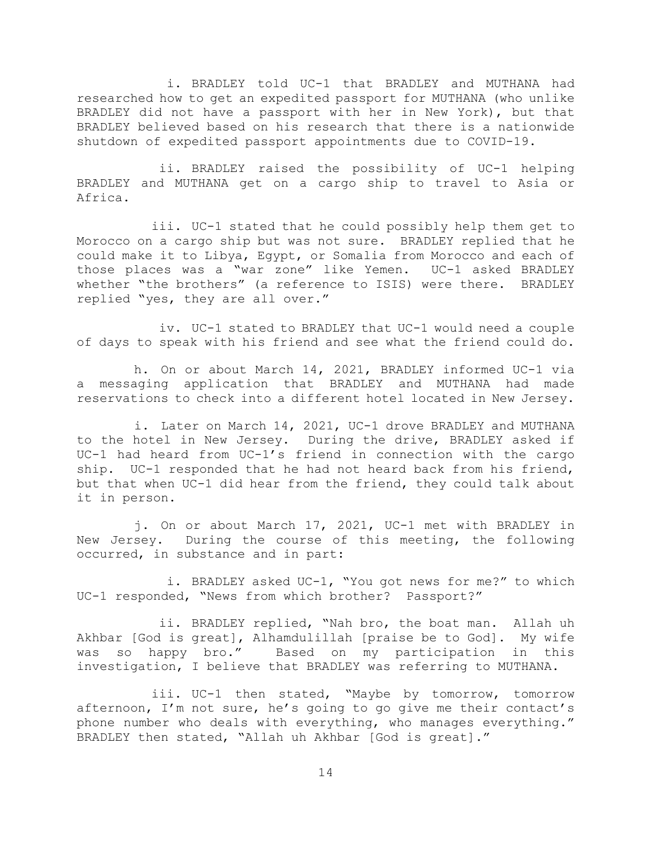i. BRADLEY told UC-1 that BRADLEY and MUTHANA had researched how to get an expedited passport for MUTHANA (who unlike BRADLEY did not have a passport with her in New York), but that BRADLEY believed based on his research that there is a nationwide shutdown of expedited passport appointments due to COVID-19.

ii. BRADLEY raised the possibility of UC-1 helping BRADLEY and MUTHANA get on a cargo ship to travel to Asia or Africa.

iii. UC-1 stated that he could possibly help them get to Morocco on a cargo ship but was not sure. BRADLEY replied that he could make it to Libya, Egypt, or Somalia from Morocco and each of those places was a "war zone" like Yemen. UC-1 asked BRADLEY whether "the brothers" (a reference to ISIS) were there. BRADLEY replied "yes, they are all over."

iv. UC-1 stated to BRADLEY that UC-1 would need a couple of days to speak with his friend and see what the friend could do.

h. On or about March 14, 2021, BRADLEY informed UC-1 via a messaging application that BRADLEY and MUTHANA had made reservations to check into a different hotel located in New Jersey.

i. Later on March 14, 2021, UC-1 drove BRADLEY and MUTHANA to the hotel in New Jersey. During the drive, BRADLEY asked if UC-1 had heard from UC-1's friend in connection with the cargo ship. UC-1 responded that he had not heard back from his friend, but that when UC-1 did hear from the friend, they could talk about it in person.

j. On or about March 17, 2021, UC-1 met with BRADLEY in New Jersey. During the course of this meeting, the following occurred, in substance and in part:

i. BRADLEY asked UC-1, "You got news for me?" to which UC-1 responded, "News from which brother? Passport?"

ii. BRADLEY replied, "Nah bro, the boat man. Allah uh Akhbar [God is great], Alhamdulillah [praise be to God]. My wife was so happy bro." Based on my participation in this investigation, I believe that BRADLEY was referring to MUTHANA.

iii. UC-1 then stated, "Maybe by tomorrow, tomorrow afternoon, I'm not sure, he's going to go give me their contact's phone number who deals with everything, who manages everything." BRADLEY then stated, "Allah uh Akhbar [God is great]."

14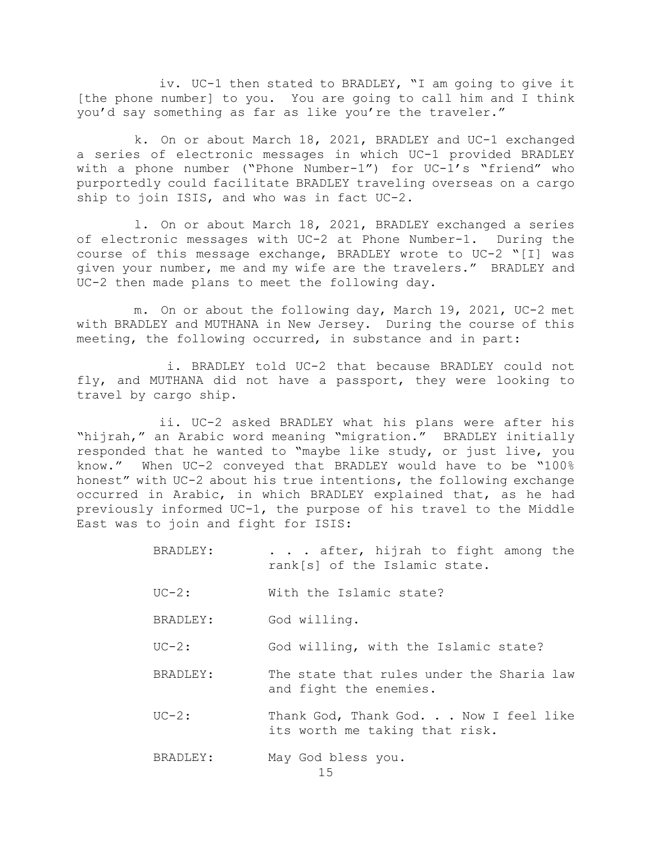iv. UC-1 then stated to BRADLEY, "I am going to give it [the phone number] to you. You are going to call him and I think you'd say something as far as like you're the traveler."

k. On or about March 18, 2021, BRADLEY and UC-1 exchanged a series of electronic messages in which UC-1 provided BRADLEY with a phone number ("Phone Number-1") for UC-1's "friend" who purportedly could facilitate BRADLEY traveling overseas on a cargo ship to join ISIS, and who was in fact UC-2.

l. On or about March 18, 2021, BRADLEY exchanged a series of electronic messages with UC-2 at Phone Number-1. During the course of this message exchange, BRADLEY wrote to UC-2 "[I] was given your number, me and my wife are the travelers." BRADLEY and UC-2 then made plans to meet the following day.

m. On or about the following day, March 19, 2021, UC-2 met with BRADLEY and MUTHANA in New Jersey. During the course of this meeting, the following occurred, in substance and in part:

i. BRADLEY told UC-2 that because BRADLEY could not fly, and MUTHANA did not have a passport, they were looking to travel by cargo ship.

ii. UC-2 asked BRADLEY what his plans were after his "hijrah," an Arabic word meaning "migration." BRADLEY initially responded that he wanted to "maybe like study, or just live, you know." When UC-2 conveyed that BRADLEY would have to be "100% honest" with UC-2 about his true intentions, the following exchange occurred in Arabic, in which BRADLEY explained that, as he had previously informed UC-1, the purpose of his travel to the Middle East was to join and fight for ISIS:

- BRADLEY: . . . after, hijrah to fight among the rank[s] of the Islamic state.
- UC-2: With the Islamic state?
- BRADLEY: God willing.
- UC-2: God willing, with the Islamic state?
- BRADLEY: The state that rules under the Sharia law and fight the enemies.
- UC-2: Thank God, Thank God. . . Now I feel like its worth me taking that risk.
- BRADLEY: May God bless you.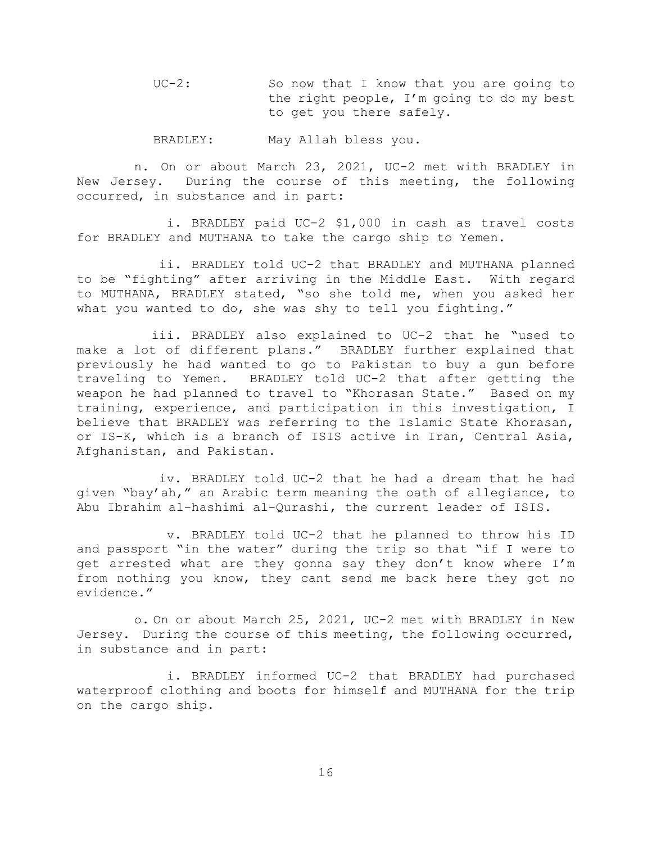UC-2: So now that I know that you are going to the right people, I'm going to do my best to get you there safely.

BRADLEY: May Allah bless you.

n. On or about March 23, 2021, UC-2 met with BRADLEY in New Jersey. During the course of this meeting, the following occurred, in substance and in part:

i. BRADLEY paid UC-2 \$1,000 in cash as travel costs for BRADLEY and MUTHANA to take the cargo ship to Yemen.

ii. BRADLEY told UC-2 that BRADLEY and MUTHANA planned to be "fighting" after arriving in the Middle East. With regard to MUTHANA, BRADLEY stated, "so she told me, when you asked her what you wanted to do, she was shy to tell you fighting."

iii. BRADLEY also explained to UC-2 that he "used to make a lot of different plans." BRADLEY further explained that previously he had wanted to go to Pakistan to buy a gun before traveling to Yemen. BRADLEY told UC-2 that after getting the weapon he had planned to travel to "Khorasan State." Based on my training, experience, and participation in this investigation, I believe that BRADLEY was referring to the Islamic State Khorasan, or IS-K, which is a branch of ISIS active in Iran, Central Asia, Afghanistan, and Pakistan.

iv. BRADLEY told UC-2 that he had a dream that he had given "bay'ah," an Arabic term meaning the oath of allegiance, to Abu Ibrahim al-hashimi al-Qurashi, the current leader of ISIS.

v. BRADLEY told UC-2 that he planned to throw his ID and passport "in the water" during the trip so that "if I were to get arrested what are they gonna say they don't know where I'm from nothing you know, they cant send me back here they got no evidence."

o. On or about March 25, 2021, UC-2 met with BRADLEY in New Jersey. During the course of this meeting, the following occurred, in substance and in part:

i. BRADLEY informed UC-2 that BRADLEY had purchased waterproof clothing and boots for himself and MUTHANA for the trip on the cargo ship.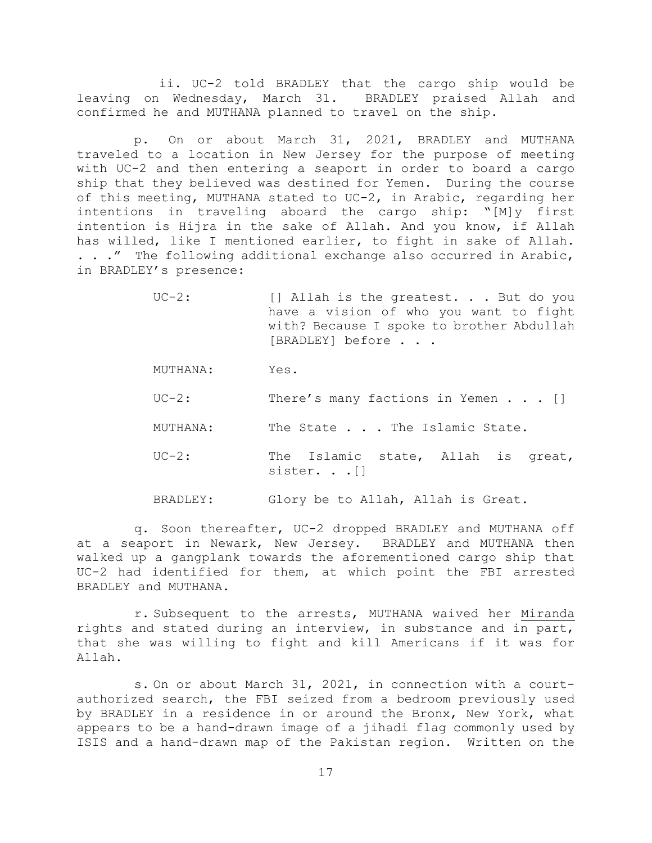ii. UC-2 told BRADLEY that the cargo ship would be leaving on Wednesday, March 31. BRADLEY praised Allah and confirmed he and MUTHANA planned to travel on the ship.

p. On or about March 31, 2021, BRADLEY and MUTHANA traveled to a location in New Jersey for the purpose of meeting with UC-2 and then entering a seaport in order to board a cargo ship that they believed was destined for Yemen. During the course of this meeting, MUTHANA stated to UC-2, in Arabic, regarding her intentions in traveling aboard the cargo ship: "[M]y first intention is Hijra in the sake of Allah. And you know, if Allah has willed, like I mentioned earlier, to fight in sake of Allah. . . ." The following additional exchange also occurred in Arabic, in BRADLEY's presence:

- UC-2: [] Allah is the greatest. . . But do you have a vision of who you want to fight with? Because I spoke to brother Abdullah [BRADLEY] before . . .
- MUTHANA: Yes.
- UC-2: There's many factions in Yemen . . . []
- MUTHANA: The State . . . The Islamic State.
- UC-2: The Islamic state, Allah is great, sister. . . []
- BRADLEY: Glory be to Allah, Allah is Great.

q. Soon thereafter, UC-2 dropped BRADLEY and MUTHANA off at a seaport in Newark, New Jersey. BRADLEY and MUTHANA then walked up a gangplank towards the aforementioned cargo ship that UC-2 had identified for them, at which point the FBI arrested BRADLEY and MUTHANA.

r. Subsequent to the arrests, MUTHANA waived her Miranda rights and stated during an interview, in substance and in part, that she was willing to fight and kill Americans if it was for Allah.

s. On or about March 31, 2021, in connection with a courtauthorized search, the FBI seized from a bedroom previously used by BRADLEY in a residence in or around the Bronx, New York, what appears to be a hand-drawn image of a jihadi flag commonly used by ISIS and a hand-drawn map of the Pakistan region. Written on the